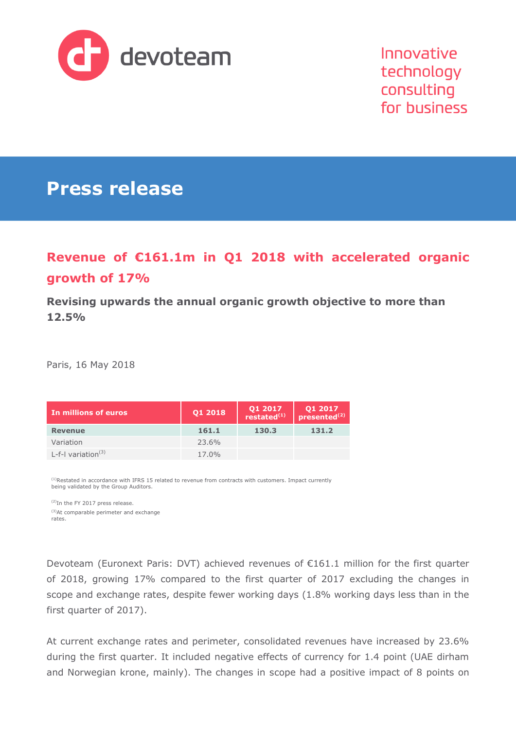

Innovative technology consulting for business

# **Press release**

# **Revenue of €161.1m in Q1 2018 with accelerated organic growth of 17%**

**Revising upwards the annual organic growth objective to more than 12.5%**

Paris, 16 May 2018

| . In millions of euros | Q1 2018 | $Q1 2017$<br>restated <sup>(1)</sup> | Q1 2017<br>presented <sup>(2)</sup> |
|------------------------|---------|--------------------------------------|-------------------------------------|
| <b>Revenue</b>         | 161.1   | 130.3                                | 131.2                               |
| Variation              | 23.6%   |                                      |                                     |
| L-f-I variation $(3)$  | 17.0%   |                                      |                                     |

<sup>(1)</sup>Restated in accordance with IFRS 15 related to revenue from contracts with customers. Impact currently being validated by the Group Auditors.

(2)In the FY 2017 press release. (3)At comparable perimeter and exchange rates.

Devoteam (Euronext Paris: DVT) achieved revenues of €161.1 million for the first quarter of 2018, growing 17% compared to the first quarter of 2017 excluding the changes in scope and exchange rates, despite fewer working days (1.8% working days less than in the first quarter of 2017).

At current exchange rates and perimeter, consolidated revenues have increased by 23.6% during the first quarter. It included negative effects of currency for 1.4 point (UAE dirham and Norwegian krone, mainly). The changes in scope had a positive impact of 8 points on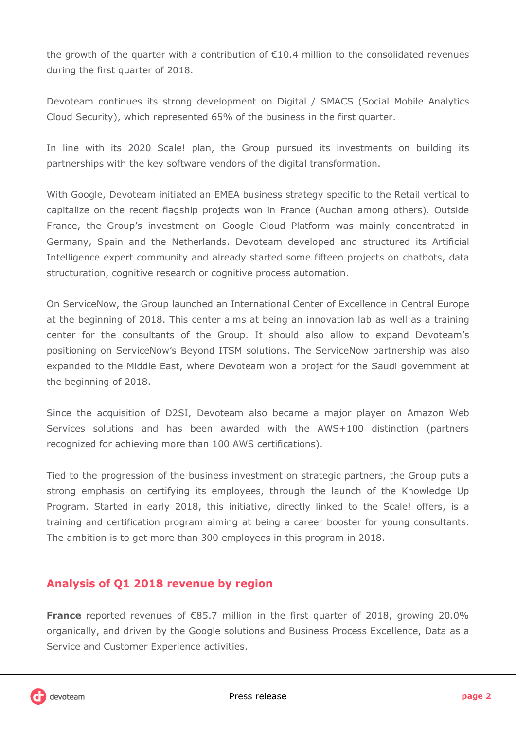the growth of the quarter with a contribution of €10.4 million to the consolidated revenues during the first quarter of 2018.

Devoteam continues its strong development on Digital / SMACS (Social Mobile Analytics Cloud Security), which represented 65% of the business in the first quarter.

In line with its 2020 Scale! plan, the Group pursued its investments on building its partnerships with the key software vendors of the digital transformation.

With Google, Devoteam initiated an EMEA business strategy specific to the Retail vertical to capitalize on the recent flagship projects won in France (Auchan among others). Outside France, the Group's investment on Google Cloud Platform was mainly concentrated in Germany, Spain and the Netherlands. Devoteam developed and structured its Artificial Intelligence expert community and already started some fifteen projects on chatbots, data structuration, cognitive research or cognitive process automation.

On ServiceNow, the Group launched an International Center of Excellence in Central Europe at the beginning of 2018. This center aims at being an innovation lab as well as a training center for the consultants of the Group. It should also allow to expand Devoteam's positioning on ServiceNow's Beyond ITSM solutions. The ServiceNow partnership was also expanded to the Middle East, where Devoteam won a project for the Saudi government at the beginning of 2018.

Since the acquisition of D2SI, Devoteam also became a major player on Amazon Web Services solutions and has been awarded with the AWS+100 distinction (partners recognized for achieving more than 100 AWS certifications).

Tied to the progression of the business investment on strategic partners, the Group puts a strong emphasis on certifying its employees, through the launch of the Knowledge Up Program. Started in early 2018, this initiative, directly linked to the Scale! offers, is a training and certification program aiming at being a career booster for young consultants. The ambition is to get more than 300 employees in this program in 2018.

## **Analysis of Q1 2018 revenue by region**

**France** reported revenues of €85.7 million in the first quarter of 2018, growing 20.0% organically, and driven by the Google solutions and Business Process Excellence, Data as a Service and Customer Experience activities.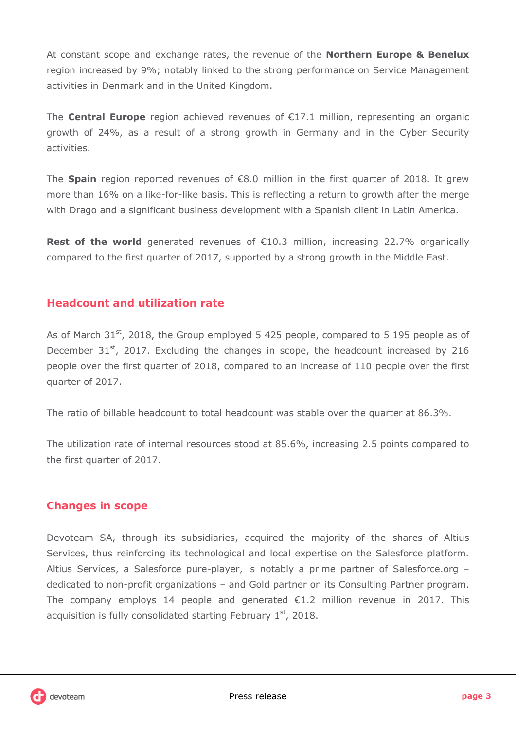At constant scope and exchange rates, the revenue of the **Northern Europe & Benelux** region increased by 9%; notably linked to the strong performance on Service Management activities in Denmark and in the United Kingdom.

The **Central Europe** region achieved revenues of €17.1 million, representing an organic growth of 24%, as a result of a strong growth in Germany and in the Cyber Security activities.

The **Spain** region reported revenues of €8.0 million in the first quarter of 2018. It grew more than 16% on a like-for-like basis. This is reflecting a return to growth after the merge with Drago and a significant business development with a Spanish client in Latin America.

**Rest of the world** generated revenues of €10.3 million, increasing 22.7% organically compared to the first quarter of 2017, supported by a strong growth in the Middle East.

### **Headcount and utilization rate**

As of March 31<sup>st</sup>, 2018, the Group employed 5 425 people, compared to 5 195 people as of December  $31<sup>st</sup>$ , 2017. Excluding the changes in scope, the headcount increased by 216 people over the first quarter of 2018, compared to an increase of 110 people over the first quarter of 2017.

The ratio of billable headcount to total headcount was stable over the quarter at 86.3%.

The utilization rate of internal resources stood at 85.6%, increasing 2.5 points compared to the first quarter of 2017.

### **Changes in scope**

Devoteam SA, through its subsidiaries, acquired the majority of the shares of Altius Services, thus reinforcing its technological and local expertise on the Salesforce platform. Altius Services, a Salesforce pure-player, is notably a prime partner of Salesforce.org – dedicated to non-profit organizations – and Gold partner on its Consulting Partner program. The company employs 14 people and generated  $E1.2$  million revenue in 2017. This acquisition is fully consolidated starting February  $1<sup>st</sup>$ , 2018.

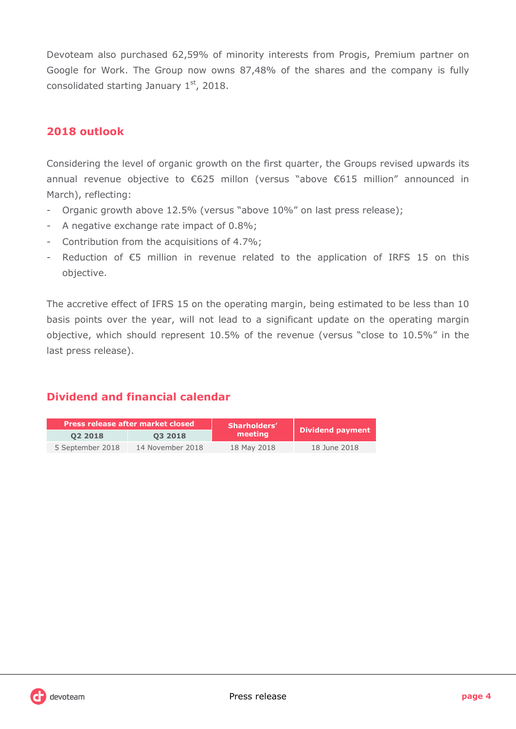Devoteam also purchased 62,59% of minority interests from Progis, Premium partner on Google for Work. The Group now owns 87,48% of the shares and the company is fully consolidated starting January  $1<sup>st</sup>$ , 2018.

### **2018 outlook**

Considering the level of organic growth on the first quarter, the Groups revised upwards its annual revenue objective to €625 millon (versus "above €615 million" announced in March), reflecting:

- Organic growth above 12.5% (versus "above 10%" on last press release);
- A negative exchange rate impact of 0.8%;
- Contribution from the acquisitions of 4.7%;
- Reduction of  $\epsilon$ 5 million in revenue related to the application of IRFS 15 on this objective.

The accretive effect of IFRS 15 on the operating margin, being estimated to be less than 10 basis points over the year, will not lead to a significant update on the operating margin objective, which should represent 10.5% of the revenue (versus "close to 10.5%" in the last press release).

## **Dividend and financial calendar**

| Press release after market closed |                  | Sharholders' |                  |  |
|-----------------------------------|------------------|--------------|------------------|--|
| 02 2018                           | 03 2018          | meeting      | Dividend payment |  |
| 5 September 2018                  | 14 November 2018 | 18 May 2018  | 18 June 2018     |  |

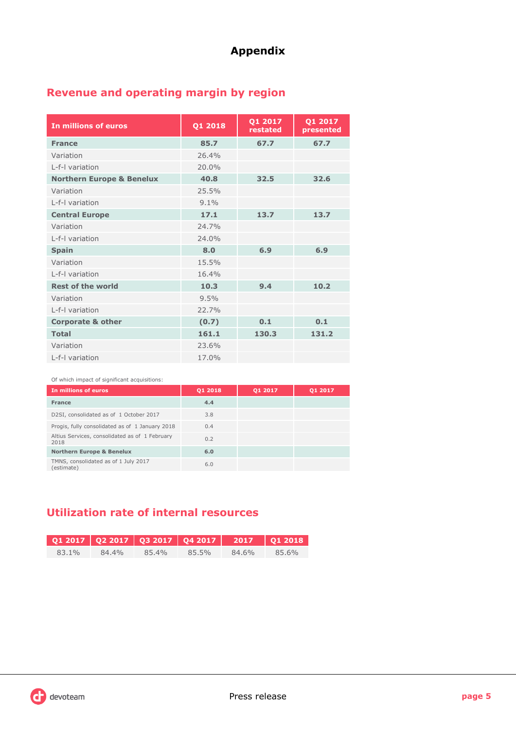## **Appendix**

# **Revenue and operating margin by region**

| In millions of euros                 | Q1 2018 | Q1 2017<br>restated | Q1 2017<br>presented |
|--------------------------------------|---------|---------------------|----------------------|
| <b>France</b>                        | 85.7    | 67.7                | 67.7                 |
| Variation                            | 26.4%   |                     |                      |
| I-f-I variation                      | 20.0%   |                     |                      |
| <b>Northern Europe &amp; Benelux</b> | 40.8    | 32.5                | 32.6                 |
| Variation                            | 25.5%   |                     |                      |
| I-f-I variation                      | $9.1\%$ |                     |                      |
| <b>Central Europe</b>                | 17.1    | 13.7                | 13.7                 |
| Variation                            | 24.7%   |                     |                      |
| L-f-I variation                      | 24.0%   |                     |                      |
| <b>Spain</b>                         | 8.0     | 6.9                 | 6.9                  |
| Variation                            | 15.5%   |                     |                      |
| L-f-I variation                      | 16.4%   |                     |                      |
| <b>Rest of the world</b>             | 10.3    | 9.4                 | 10.2                 |
| Variation                            | 9.5%    |                     |                      |
| L-f-I variation                      | 22.7%   |                     |                      |
| <b>Corporate &amp; other</b>         | (0.7)   | 0.1                 | 0.1                  |
| <b>Total</b>                         | 161.1   | 130.3               | 131.2                |
| Variation                            | 23.6%   |                     |                      |
| L-f-I variation                      | 17.0%   |                     |                      |

#### Of which impact of significant acquisitions:

| In millions of euros                                   | 01 2018 | 01 2017 | 01 2017 |
|--------------------------------------------------------|---------|---------|---------|
| France                                                 | 4.4     |         |         |
| D2SI, consolidated as of 1 October 2017                | 3.8     |         |         |
| Progis, fully consolidated as of 1 January 2018        | 0.4     |         |         |
| Altius Services, consolidated as of 1 February<br>2018 | 0.2     |         |         |
| <b>Northern Europe &amp; Benelux</b>                   | 6.0     |         |         |
| TMNS, consolidated as of 1 July 2017<br>(estimate)     | 6.0     |         |         |

# **Utilization rate of internal resources**

| 83.1% | 84.4% | 854% | 85.5% | 84.6% | 85.6% |
|-------|-------|------|-------|-------|-------|

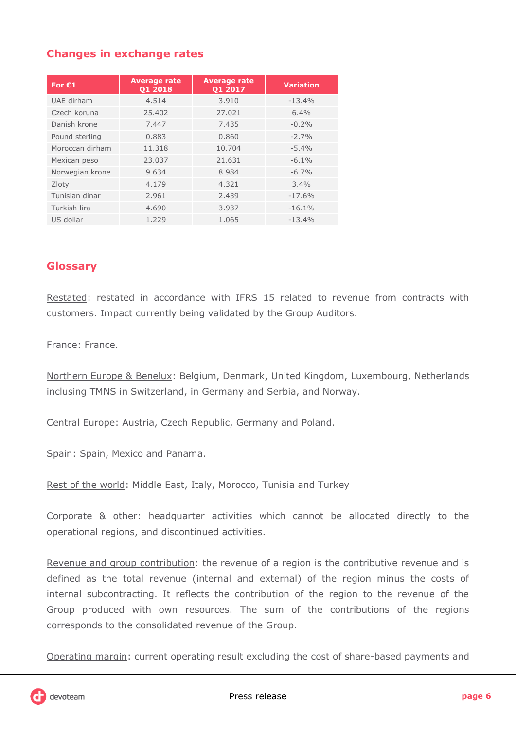## **Changes in exchange rates**

| For $E1$        | <b>Average rate</b><br>Q1 2018 | <b>Average rate</b><br>Q1 2017 | <b>Variation</b> |
|-----------------|--------------------------------|--------------------------------|------------------|
| UAE dirham      | 4.514                          | 3.910                          | $-13.4%$         |
| Czech koruna    | 25.402                         | 27.021                         | 6.4%             |
| Danish krone    | 7.447                          | 7.435                          | $-0.2\%$         |
| Pound sterling  | 0.883                          | 0.860                          | $-2.7%$          |
| Moroccan dirham | 11.318                         | 10.704                         | $-5.4%$          |
| Mexican peso    | 23.037                         | 21.631                         | $-6.1\%$         |
| Norwegian krone | 9.634                          | 8.984                          | $-6.7\%$         |
| Zloty           | 4.179                          | 4.321                          | 3.4%             |
| Tunisian dinar  | 2.961                          | 2.439                          | $-17.6%$         |
| Turkish lira    | 4.690                          | 3.937                          | $-16.1%$         |
| US dollar       | 1.229                          | 1.065                          | $-13.4%$         |

### **Glossary**

Restated: restated in accordance with IFRS 15 related to revenue from contracts with customers. Impact currently being validated by the Group Auditors.

France: France.

Northern Europe & Benelux: Belgium, Denmark, United Kingdom, Luxembourg, Netherlands inclusing TMNS in Switzerland, in Germany and Serbia, and Norway.

Central Europe: Austria, Czech Republic, Germany and Poland.

Spain: Spain, Mexico and Panama.

Rest of the world: Middle East, Italy, Morocco, Tunisia and Turkey

Corporate & other: headquarter activities which cannot be allocated directly to the operational regions, and discontinued activities.

Revenue and group contribution: the revenue of a region is the contributive revenue and is defined as the total revenue (internal and external) of the region minus the costs of internal subcontracting. It reflects the contribution of the region to the revenue of the Group produced with own resources. The sum of the contributions of the regions corresponds to the consolidated revenue of the Group.

Operating margin: current operating result excluding the cost of share-based payments and

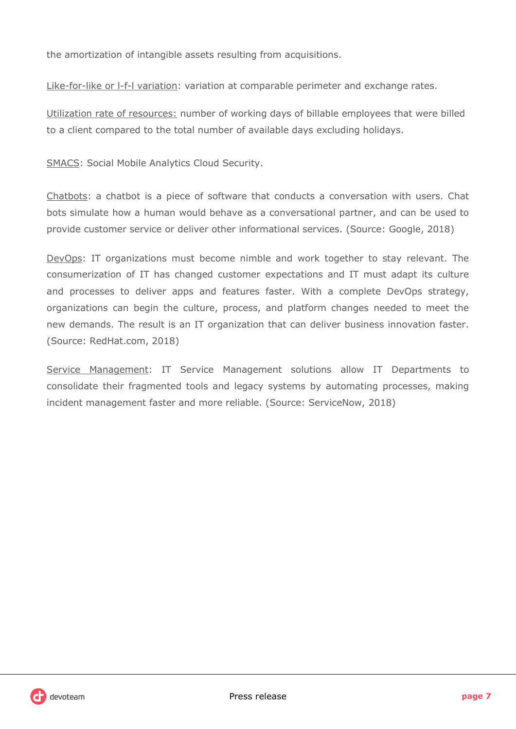the amortization of intangible assets resulting from acquisitions.

Like-for-like or l-f-l variation: variation at comparable perimeter and exchange rates.

Utilization rate of resources: number of working days of billable employees that were billed to a client compared to the total number of available days excluding holidays.

SMACS: Social Mobile Analytics Cloud Security.

Chatbots: a chatbot is a piece of software that conducts a conversation with users. Chat bots simulate how a human would behave as a conversational partner, and can be used to provide customer service or deliver other informational services. (Source: Google, 2018)

DevOps: IT organizations must become nimble and work together to stay relevant. The consumerization of IT has changed customer expectations and IT must adapt its culture and processes to deliver apps and features faster. With a complete DevOps strategy, organizations can begin the culture, process, and platform changes needed to meet the new demands. The result is an IT organization that can deliver business innovation faster. (Source: RedHat.com, 2018)

Service Management: IT Service Management solutions allow IT Departments to consolidate their fragmented tools and legacy systems by automating processes, making incident management faster and more reliable. (Source: ServiceNow, 2018)